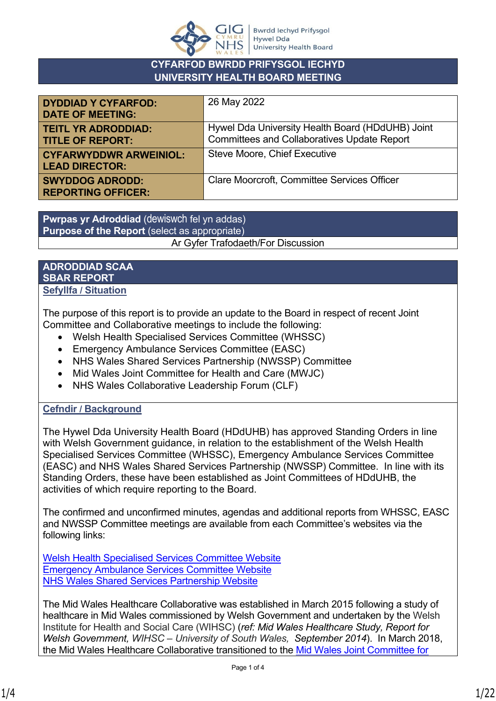

#### **CYFARFOD BWRDD PRIFYSGOL IECHYD UNIVERSITY HEALTH BOARD MEETING**

| <b>DYDDIAD Y CYFARFOD:</b><br><b>DATE OF MEETING:</b>  | 26 May 2022                                                                                            |
|--------------------------------------------------------|--------------------------------------------------------------------------------------------------------|
| <b>TEITL YR ADRODDIAD:</b><br><b>TITLE OF REPORT:</b>  | Hywel Dda University Health Board (HDdUHB) Joint<br><b>Committees and Collaboratives Update Report</b> |
| <b>CYFARWYDDWR ARWEINIOL:</b><br><b>LEAD DIRECTOR:</b> | <b>Steve Moore, Chief Executive</b>                                                                    |
| <b>SWYDDOG ADRODD:</b><br><b>REPORTING OFFICER:</b>    | <b>Clare Moorcroft, Committee Services Officer</b>                                                     |

**Pwrpas yr Adroddiad** (dewiswch fel yn addas) **Purpose of the Report** (select as appropriate) Ar Gyfer Trafodaeth/For Discussion

#### **ADRODDIAD SCAA SBAR REPORT Sefyllfa / Situation**

The purpose of this report is to provide an update to the Board in respect of recent Joint Committee and Collaborative meetings to include the following:

- Welsh Health Specialised Services Committee (WHSSC)
- Emergency Ambulance Services Committee (EASC)
- NHS Wales Shared Services Partnership (NWSSP) Committee
- Mid Wales Joint Committee for Health and Care (MWJC)
- NHS Wales Collaborative Leadership Forum (CLF)

## **Cefndir / Background**

The Hywel Dda University Health Board (HDdUHB) has approved Standing Orders in line with Welsh Government guidance, in relation to the establishment of the Welsh Health Specialised Services Committee (WHSSC), Emergency Ambulance Services Committee (EASC) and NHS Wales Shared Services Partnership (NWSSP) Committee. In line with its Standing Orders, these have been established as Joint Committees of HDdUHB, the activities of which require reporting to the Board.

The confirmed and unconfirmed minutes, agendas and additional reports from WHSSC, EASC and NWSSP Committee meetings are available from each Committee's websites via the following links:

[Welsh Health Specialised Services Committee Website](https://whssc.nhs.wales/) [Emergency Ambulance Services Committee Website](https://easc.nhs.wales/) [NHS Wales Shared Services Partnership Website](https://nwssp.nhs.wales/)

The Mid Wales Healthcare Collaborative was established in March 2015 following a study of healthcare in Mid Wales commissioned by Welsh Government and undertaken by the Welsh Institute for Health and Social Care (WIHSC) (*ref: Mid Wales Healthcare Study, Report for Welsh Government, WIHSC – University of South Wales, September 2014*). In March 2018, the Mid Wales Healthcare Collaborative transitioned to the [Mid Wales Joint Committee for](https://mwjc.nhs.wales/)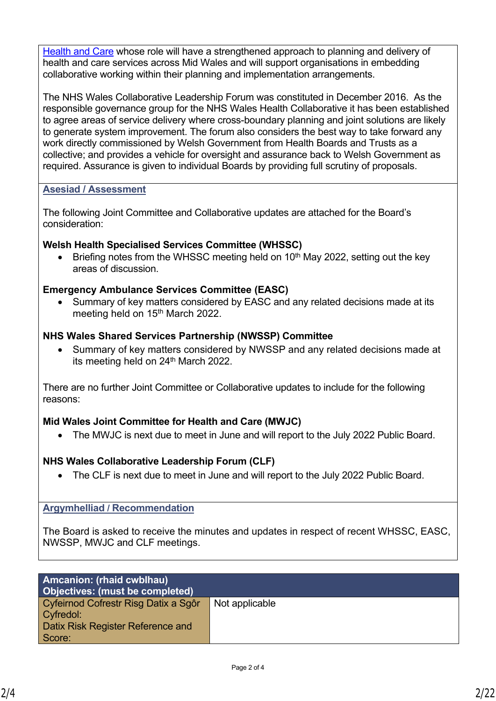[Health and Care](https://mwjc.nhs.wales/) whose role will have a strengthened approach to planning and delivery of health and care services across Mid Wales and will support organisations in embedding collaborative working within their planning and implementation arrangements.

The NHS Wales Collaborative Leadership Forum was constituted in December 2016. As the responsible governance group for the NHS Wales Health Collaborative it has been established to agree areas of service delivery where cross-boundary planning and joint solutions are likely to generate system improvement. The forum also considers the best way to take forward any work directly commissioned by Welsh Government from Health Boards and Trusts as a collective; and provides a vehicle for oversight and assurance back to Welsh Government as required. Assurance is given to individual Boards by providing full scrutiny of proposals.

#### **Asesiad / Assessment**

The following Joint Committee and Collaborative updates are attached for the Board's consideration:

### **Welsh Health Specialised Services Committee (WHSSC)**

Briefing notes from the WHSSC meeting held on 10<sup>th</sup> May 2022, setting out the key areas of discussion.

### **Emergency Ambulance Services Committee (EASC)**

• Summary of key matters considered by EASC and any related decisions made at its meeting held on 15<sup>th</sup> March 2022.

### **NHS Wales Shared Services Partnership (NWSSP) Committee**

• Summary of key matters considered by NWSSP and any related decisions made at its meeting held on 24<sup>th</sup> March 2022.

There are no further Joint Committee or Collaborative updates to include for the following reasons:

#### **Mid Wales Joint Committee for Health and Care (MWJC)**

• The MWJC is next due to meet in June and will report to the July 2022 Public Board.

## **NHS Wales Collaborative Leadership Forum (CLF)**

• The CLF is next due to meet in June and will report to the July 2022 Public Board.

#### **Argymhelliad / Recommendation**

The Board is asked to receive the minutes and updates in respect of recent WHSSC, EASC, NWSSP, MWJC and CLF meetings.

| <b>Amcanion: (rhaid cwblhau)</b><br>Objectives: (must be completed) |                |
|---------------------------------------------------------------------|----------------|
| Cyfeirnod Cofrestr Risg Datix a Sgôr                                | Not applicable |
| Cyfredol:                                                           |                |
| Datix Risk Register Reference and                                   |                |
| Score:                                                              |                |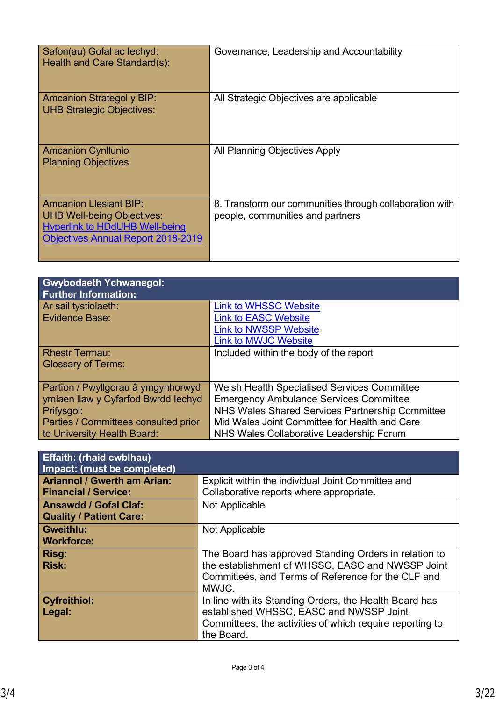| Safon(au) Gofal ac lechyd:<br>Health and Care Standard(s):                                                                                               | Governance, Leadership and Accountability                                                   |
|----------------------------------------------------------------------------------------------------------------------------------------------------------|---------------------------------------------------------------------------------------------|
| <b>Amcanion Strategol y BIP:</b><br><b>UHB Strategic Objectives:</b>                                                                                     | All Strategic Objectives are applicable                                                     |
| <b>Amcanion Cynllunio</b><br><b>Planning Objectives</b>                                                                                                  | All Planning Objectives Apply                                                               |
| <b>Amcanion Llesiant BIP:</b><br><b>UHB Well-being Objectives:</b><br><b>Hyperlink to HDdUHB Well-being</b><br><b>Objectives Annual Report 2018-2019</b> | 8. Transform our communities through collaboration with<br>people, communities and partners |

| <b>Gwybodaeth Ychwanegol:</b><br><b>Further Information:</b> |                                                    |
|--------------------------------------------------------------|----------------------------------------------------|
| Ar sail tystiolaeth:                                         | <b>Link to WHSSC Website</b>                       |
| Evidence Base:                                               | <b>Link to EASC Website</b>                        |
|                                                              | <b>Link to NWSSP Website</b>                       |
|                                                              | <b>Link to MWJC Website</b>                        |
| <b>Rhestr Termau:</b>                                        | Included within the body of the report             |
| <b>Glossary of Terms:</b>                                    |                                                    |
|                                                              |                                                    |
| Partïon / Pwyllgorau â ymgynhorwyd                           | <b>Welsh Health Specialised Services Committee</b> |
| ymlaen llaw y Cyfarfod Bwrdd Iechyd                          | <b>Emergency Ambulance Services Committee</b>      |
| Prifysgol:                                                   | NHS Wales Shared Services Partnership Committee    |
| Parties / Committees consulted prior                         | Mid Wales Joint Committee for Health and Care      |
| to University Health Board:                                  | NHS Wales Collaborative Leadership Forum           |

| <b>Effaith: (rhaid cwblhau)</b><br>Impact: (must be completed) |                                                          |
|----------------------------------------------------------------|----------------------------------------------------------|
| <b>Ariannol / Gwerth am Arian:</b>                             | Explicit within the individual Joint Committee and       |
| <b>Financial / Service:</b>                                    | Collaborative reports where appropriate.                 |
| <b>Ansawdd / Gofal Claf:</b>                                   | Not Applicable                                           |
| <b>Quality / Patient Care:</b>                                 |                                                          |
| <b>Gweithlu:</b>                                               | Not Applicable                                           |
| <b>Workforce:</b>                                              |                                                          |
| Risg:                                                          | The Board has approved Standing Orders in relation to    |
| <b>Risk:</b>                                                   | the establishment of WHSSC, EASC and NWSSP Joint         |
|                                                                | Committees, and Terms of Reference for the CLF and       |
|                                                                | MWJC.                                                    |
| <b>Cyfreithiol:</b>                                            | In line with its Standing Orders, the Health Board has   |
| Legal:                                                         | established WHSSC, EASC and NWSSP Joint                  |
|                                                                | Committees, the activities of which require reporting to |
|                                                                | the Board.                                               |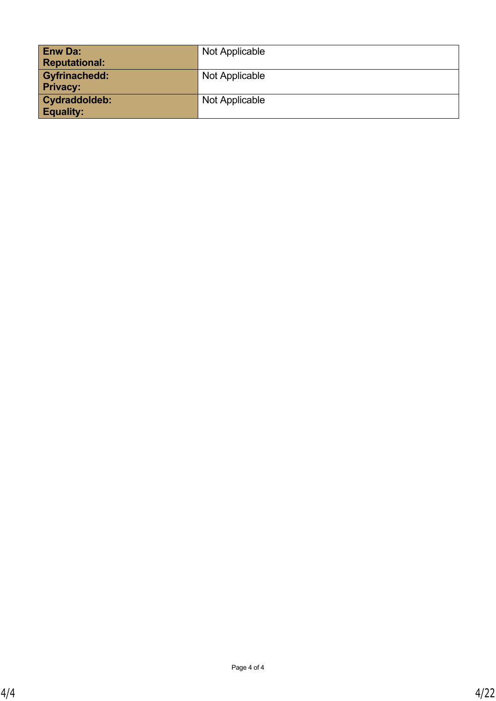| <b>Enw Da:</b><br><b>Reputational:</b>  | Not Applicable |
|-----------------------------------------|----------------|
| <b>Gyfrinachedd:</b><br><b>Privacy:</b> | Not Applicable |
| Cydraddoldeb:<br><b>Equality:</b>       | Not Applicable |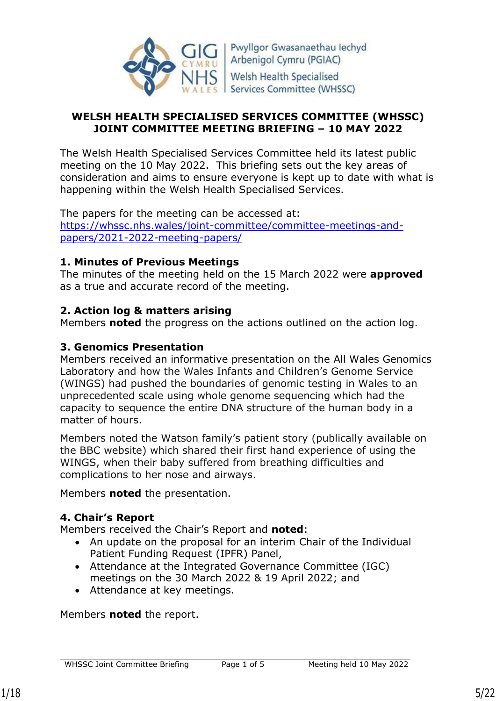

Pwyllgor Gwasanaethau lechyd Arbenigol Cymru (PGIAC) **Welsh Health Specialised** Services Committee (WHSSC)

### **WELSH HEALTH SPECIALISED SERVICES COMMITTEE (WHSSC) JOINT COMMITTEE MEETING BRIEFING – 10 MAY 2022**

The Welsh Health Specialised Services Committee held its latest public meeting on the 10 May 2022. This briefing sets out the key areas of consideration and aims to ensure everyone is kept up to date with what is happening within the Welsh Health Specialised Services.

The papers for the meeting can be accessed at: [https://whssc.nhs.wales/joint-committee/committee-meetings-and](https://whssc.nhs.wales/joint-committee/committee-meetings-and-papers/2021-2022-meeting-papers/)[papers/2021-2022-meeting-papers/](https://whssc.nhs.wales/joint-committee/committee-meetings-and-papers/2021-2022-meeting-papers/)

### **1. Minutes of Previous Meetings**

The minutes of the meeting held on the 15 March 2022 were **approved** as a true and accurate record of the meeting.

## **2. Action log & matters arising**

Members **noted** the progress on the actions outlined on the action log.

### **3. Genomics Presentation**

Members received an informative presentation on the All Wales Genomics Laboratory and how the Wales Infants and Children's Genome Service (WINGS) had pushed the boundaries of genomic testing in Wales to an unprecedented scale using whole genome sequencing which had the capacity to sequence the entire DNA structure of the human body in a matter of hours.

Members noted the Watson family's patient story (publically available on the BBC website) which shared their first hand experience of using the WINGS, when their baby suffered from breathing difficulties and complications to her nose and airways.

Members **noted** the presentation.

## **4. Chair's Report**

Members received the Chair's Report and **noted**:

- An update on the proposal for an interim Chair of the Individual Patient Funding Request (IPFR) Panel,
- Attendance at the Integrated Governance Committee (IGC) meetings on the 30 March 2022 & 19 April 2022; and
- Attendance at key meetings.

Members **noted** the report.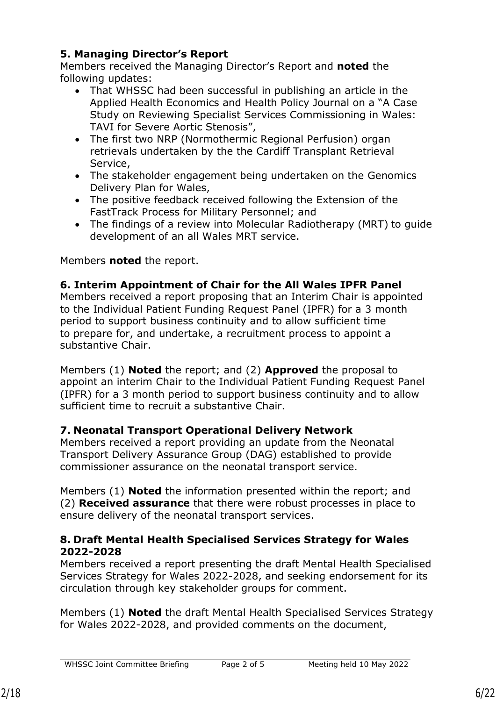# **5. Managing Director's Report**

Members received the Managing Director's Report and **noted** the following updates:

- That WHSSC had been successful in publishing an article in the Applied Health Economics and Health Policy Journal on a "A Case Study on Reviewing Specialist Services Commissioning in Wales: TAVI for Severe Aortic Stenosis",
- The first two NRP (Normothermic Regional Perfusion) organ retrievals undertaken by the the Cardiff Transplant Retrieval Service,
- The stakeholder engagement being undertaken on the Genomics Delivery Plan for Wales,
- The positive feedback received following the Extension of the FastTrack Process for Military Personnel; and
- The findings of a review into Molecular Radiotherapy (MRT) to guide development of an all Wales MRT service.

Members **noted** the report.

## **6. Interim Appointment of Chair for the All Wales IPFR Panel**

Members received a report proposing that an Interim Chair is appointed to the Individual Patient Funding Request Panel (IPFR) for a 3 month period to support business continuity and to allow sufficient time to prepare for, and undertake, a recruitment process to appoint a substantive Chair.

Members (1) **Noted** the report; and (2) **Approved** the proposal to appoint an interim Chair to the Individual Patient Funding Request Panel (IPFR) for a 3 month period to support business continuity and to allow sufficient time to recruit a substantive Chair.

# **7. Neonatal Transport Operational Delivery Network**

Members received a report providing an update from the Neonatal Transport Delivery Assurance Group (DAG) established to provide commissioner assurance on the neonatal transport service.

Members (1) **Noted** the information presented within the report; and (2) **Received assurance** that there were robust processes in place to ensure delivery of the neonatal transport services.

## **8. Draft Mental Health Specialised Services Strategy for Wales 2022-2028**

Members received a report presenting the draft Mental Health Specialised Services Strategy for Wales 2022-2028, and seeking endorsement for its circulation through key stakeholder groups for comment.

Members (1) **Noted** the draft Mental Health Specialised Services Strategy for Wales 2022-2028, and provided comments on the document,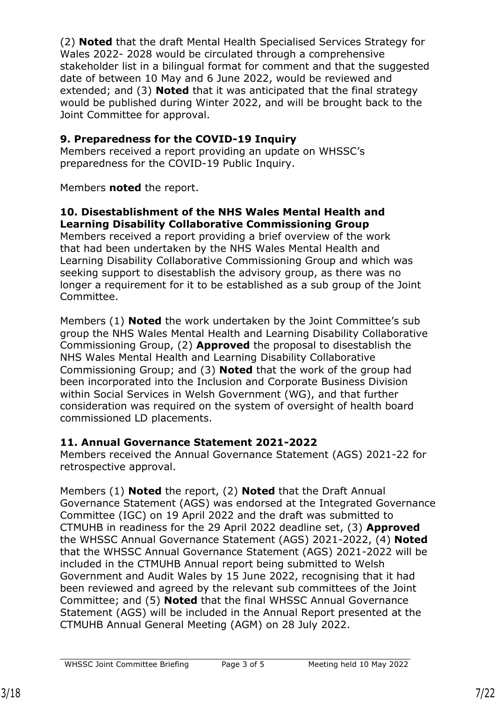(2) **Noted** that the draft Mental Health Specialised Services Strategy for Wales 2022- 2028 would be circulated through a comprehensive stakeholder list in a bilingual format for comment and that the suggested date of between 10 May and 6 June 2022, would be reviewed and extended; and (3) **Noted** that it was anticipated that the final strategy would be published during Winter 2022, and will be brought back to the Joint Committee for approval.

## **9. Preparedness for the COVID-19 Inquiry**

Members received a report providing an update on WHSSC's preparedness for the COVID-19 Public Inquiry.

Members **noted** the report.

## **10. Disestablishment of the NHS Wales Mental Health and Learning Disability Collaborative Commissioning Group**

Members received a report providing a brief overview of the work that had been undertaken by the NHS Wales Mental Health and Learning Disability Collaborative Commissioning Group and which was seeking support to disestablish the advisory group, as there was no longer a requirement for it to be established as a sub group of the Joint Committee.

Members (1) **Noted** the work undertaken by the Joint Committee's sub group the NHS Wales Mental Health and Learning Disability Collaborative Commissioning Group, (2) **Approved** the proposal to disestablish the NHS Wales Mental Health and Learning Disability Collaborative Commissioning Group; and (3) **Noted** that the work of the group had been incorporated into the Inclusion and Corporate Business Division within Social Services in Welsh Government (WG), and that further consideration was required on the system of oversight of health board commissioned LD placements.

# **11. Annual Governance Statement 2021-2022**

Members received the Annual Governance Statement (AGS) 2021-22 for retrospective approval.

Members (1) **Noted** the report, (2) **Noted** that the Draft Annual Governance Statement (AGS) was endorsed at the Integrated Governance Committee (IGC) on 19 April 2022 and the draft was submitted to CTMUHB in readiness for the 29 April 2022 deadline set, (3) **Approved** the WHSSC Annual Governance Statement (AGS) 2021-2022, (4) **Noted** that the WHSSC Annual Governance Statement (AGS) 2021-2022 will be included in the CTMUHB Annual report being submitted to Welsh Government and Audit Wales by 15 June 2022, recognising that it had been reviewed and agreed by the relevant sub committees of the Joint Committee; and (5) **Noted** that the final WHSSC Annual Governance Statement (AGS) will be included in the Annual Report presented at the CTMUHB Annual General Meeting (AGM) on 28 July 2022.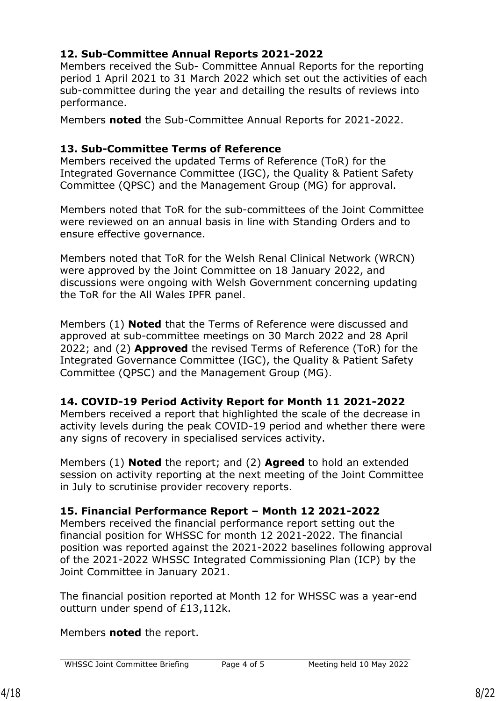# **12. Sub-Committee Annual Reports 2021-2022**

Members received the Sub- Committee Annual Reports for the reporting period 1 April 2021 to 31 March 2022 which set out the activities of each sub-committee during the year and detailing the results of reviews into performance.

Members **noted** the Sub-Committee Annual Reports for 2021-2022.

## **13. Sub-Committee Terms of Reference**

Members received the updated Terms of Reference (ToR) for the Integrated Governance Committee (IGC), the Quality & Patient Safety Committee (QPSC) and the Management Group (MG) for approval.

Members noted that ToR for the sub-committees of the Joint Committee were reviewed on an annual basis in line with Standing Orders and to ensure effective governance.

Members noted that ToR for the Welsh Renal Clinical Network (WRCN) were approved by the Joint Committee on 18 January 2022, and discussions were ongoing with Welsh Government concerning updating the ToR for the All Wales IPFR panel.

Members (1) **Noted** that the Terms of Reference were discussed and approved at sub-committee meetings on 30 March 2022 and 28 April 2022; and (2) **Approved** the revised Terms of Reference (ToR) for the Integrated Governance Committee (IGC), the Quality & Patient Safety Committee (QPSC) and the Management Group (MG).

# **14. COVID-19 Period Activity Report for Month 11 2021-2022**

Members received a report that highlighted the scale of the decrease in activity levels during the peak COVID-19 period and whether there were any signs of recovery in specialised services activity.

Members (1) **Noted** the report; and (2) **Agreed** to hold an extended session on activity reporting at the next meeting of the Joint Committee in July to scrutinise provider recovery reports.

# **15. Financial Performance Report – Month 12 2021-2022**

Members received the financial performance report setting out the financial position for WHSSC for month 12 2021-2022. The financial position was reported against the 2021-2022 baselines following approval of the 2021-2022 WHSSC Integrated Commissioning Plan (ICP) by the Joint Committee in January 2021.

The financial position reported at Month 12 for WHSSC was a year-end outturn under spend of £13,112k.

Members **noted** the report.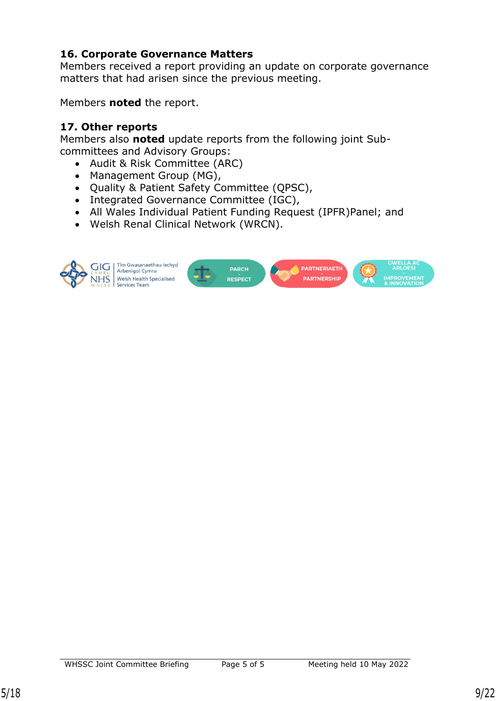## **16. Corporate Governance Matters**

Members received a report providing an update on corporate governance matters that had arisen since the previous meeting.

Members **noted** the report.

## **17. Other reports**

Members also **noted** update reports from the following joint Subcommittees and Advisory Groups:

- Audit & Risk Committee (ARC)
- Management Group (MG),
- Quality & Patient Safety Committee (QPSC),
- Integrated Governance Committee (IGC),
- All Wales Individual Patient Funding Request (IPFR)Panel; and
- Welsh Renal Clinical Network (WRCN).



Tîm Gwasanaethau lechyd Arbenigol Cymru Welsh Health Specialised

**PARCH PARTNERIAETH** PARTNERSHII **RESPECT** 

WHSSC Joint Committee Briefing Page 5 of 5 Meeting held 10 May 2022

**DI OFSI**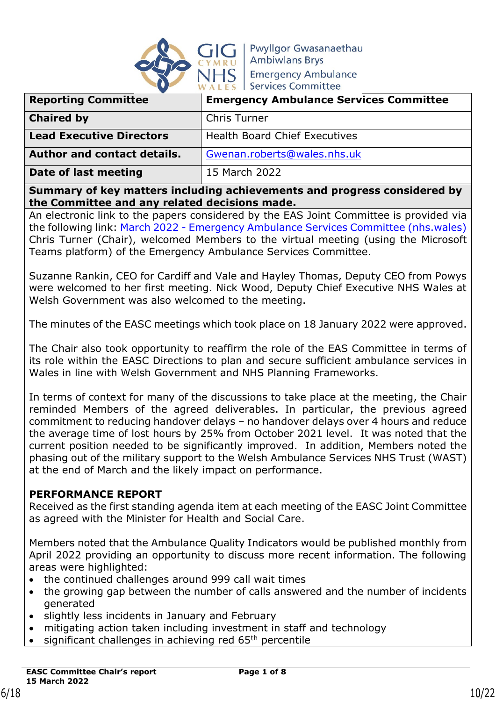

**Pwyllgor Gwasanaethau Ambiwlans Brys Emergency Ambulance Services Committee** 

| <b>Reporting Committee</b>         | <b>Emergency Ambulance Services Committee</b> |
|------------------------------------|-----------------------------------------------|
| <b>Chaired by</b>                  | <b>Chris Turner</b>                           |
| <b>Lead Executive Directors</b>    | <b>Health Board Chief Executives</b>          |
| <b>Author and contact details.</b> | Gwenan.roberts@wales.nhs.uk                   |
| Date of last meeting               | 15 March 2022                                 |

**Summary of key matters including achievements and progress considered by the Committee and any related decisions made.** 

An electronic link to the papers considered by the EAS Joint Committee is provided via the following link: March 2022 - [Emergency Ambulance Services Committee \(nhs.wales\)](https://easc.nhs.wales/the-committee/meetings-and-papers/march-2022/) Chris Turner (Chair), welcomed Members to the virtual meeting (using the Microsoft Teams platform) of the Emergency Ambulance Services Committee.

Suzanne Rankin, CEO for Cardiff and Vale and Hayley Thomas, Deputy CEO from Powys were welcomed to her first meeting. Nick Wood, Deputy Chief Executive NHS Wales at Welsh Government was also welcomed to the meeting.

The minutes of the EASC meetings which took place on 18 January 2022 were approved.

The Chair also took opportunity to reaffirm the role of the EAS Committee in terms of its role within the EASC Directions to plan and secure sufficient ambulance services in Wales in line with Welsh Government and NHS Planning Frameworks.

In terms of context for many of the discussions to take place at the meeting, the Chair reminded Members of the agreed deliverables. In particular, the previous agreed commitment to reducing handover delays – no handover delays over 4 hours and reduce the average time of lost hours by 25% from October 2021 level. It was noted that the current position needed to be significantly improved. In addition, Members noted the phasing out of the military support to the Welsh Ambulance Services NHS Trust (WAST) at the end of March and the likely impact on performance.

## **PERFORMANCE REPORT**

Received as the first standing agenda item at each meeting of the EASC Joint Committee as agreed with the Minister for Health and Social Care.

Members noted that the Ambulance Quality Indicators would be published monthly from April 2022 providing an opportunity to discuss more recent information. The following areas were highlighted:

- the continued challenges around 999 call wait times
- the growing gap between the number of calls answered and the number of incidents generated
- slightly less incidents in January and February
- mitigating action taken including investment in staff and technology
- significant challenges in achieving red 65<sup>th</sup> percentile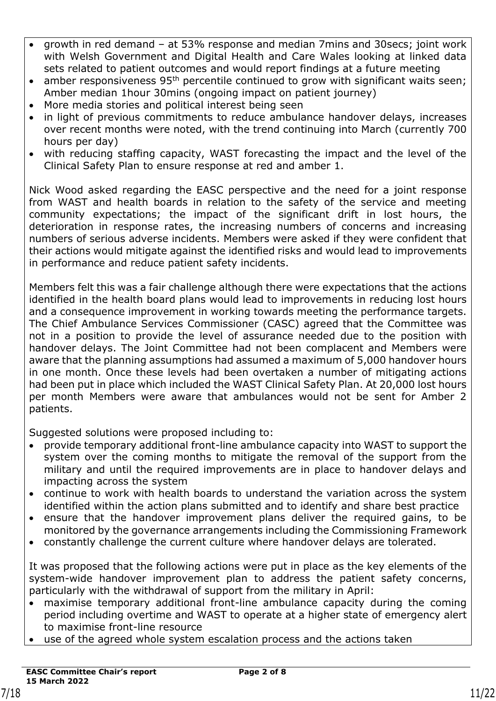- growth in red demand at 53% response and median 7mins and 30secs; joint work with Welsh Government and Digital Health and Care Wales looking at linked data sets related to patient outcomes and would report findings at a future meeting
- amber responsiveness  $95<sup>th</sup>$  percentile continued to grow with significant waits seen; Amber median 1hour 30mins (ongoing impact on patient journey)
- More media stories and political interest being seen
- in light of previous commitments to reduce ambulance handover delays, increases over recent months were noted, with the trend continuing into March (currently 700 hours per day)
- with reducing staffing capacity, WAST forecasting the impact and the level of the Clinical Safety Plan to ensure response at red and amber 1.

Nick Wood asked regarding the EASC perspective and the need for a joint response from WAST and health boards in relation to the safety of the service and meeting community expectations; the impact of the significant drift in lost hours, the deterioration in response rates, the increasing numbers of concerns and increasing numbers of serious adverse incidents. Members were asked if they were confident that their actions would mitigate against the identified risks and would lead to improvements in performance and reduce patient safety incidents.

Members felt this was a fair challenge although there were expectations that the actions identified in the health board plans would lead to improvements in reducing lost hours and a consequence improvement in working towards meeting the performance targets. The Chief Ambulance Services Commissioner (CASC) agreed that the Committee was not in a position to provide the level of assurance needed due to the position with handover delays. The Joint Committee had not been complacent and Members were aware that the planning assumptions had assumed a maximum of 5,000 handover hours in one month. Once these levels had been overtaken a number of mitigating actions had been put in place which included the WAST Clinical Safety Plan. At 20,000 lost hours per month Members were aware that ambulances would not be sent for Amber 2 patients.

Suggested solutions were proposed including to:

- provide temporary additional front-line ambulance capacity into WAST to support the system over the coming months to mitigate the removal of the support from the military and until the required improvements are in place to handover delays and impacting across the system
- continue to work with health boards to understand the variation across the system identified within the action plans submitted and to identify and share best practice
- ensure that the handover improvement plans deliver the required gains, to be monitored by the governance arrangements including the Commissioning Framework
- constantly challenge the current culture where handover delays are tolerated.

It was proposed that the following actions were put in place as the key elements of the system-wide handover improvement plan to address the patient safety concerns, particularly with the withdrawal of support from the military in April:

- maximise temporary additional front-line ambulance capacity during the coming period including overtime and WAST to operate at a higher state of emergency alert to maximise front-line resource
- use of the agreed whole system escalation process and the actions taken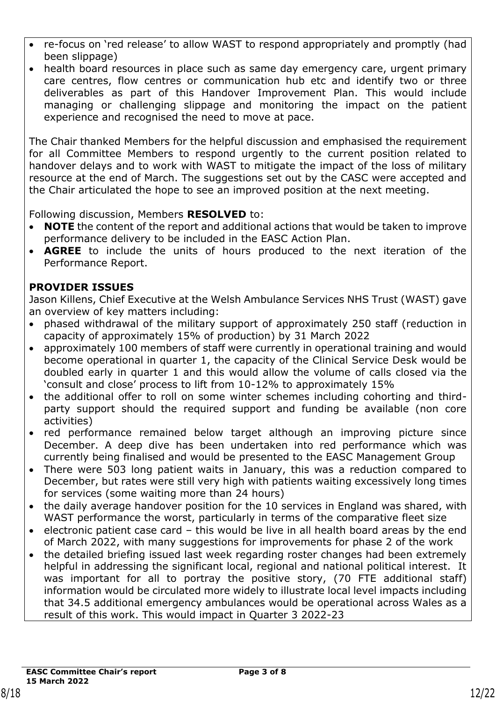- re-focus on 'red release' to allow WAST to respond appropriately and promptly (had been slippage)
- health board resources in place such as same day emergency care, urgent primary care centres, flow centres or communication hub etc and identify two or three deliverables as part of this Handover Improvement Plan. This would include managing or challenging slippage and monitoring the impact on the patient experience and recognised the need to move at pace.

The Chair thanked Members for the helpful discussion and emphasised the requirement for all Committee Members to respond urgently to the current position related to handover delays and to work with WAST to mitigate the impact of the loss of military resource at the end of March. The suggestions set out by the CASC were accepted and the Chair articulated the hope to see an improved position at the next meeting.

Following discussion, Members **RESOLVED** to:

- **NOTE** the content of the report and additional actions that would be taken to improve performance delivery to be included in the EASC Action Plan.
- **AGREE** to include the units of hours produced to the next iteration of the Performance Report.

## **PROVIDER ISSUES**

Jason Killens, Chief Executive at the Welsh Ambulance Services NHS Trust (WAST) gave an overview of key matters including:

- phased withdrawal of the military support of approximately 250 staff (reduction in capacity of approximately 15% of production) by 31 March 2022
- approximately 100 members of staff were currently in operational training and would become operational in quarter 1, the capacity of the Clinical Service Desk would be doubled early in quarter 1 and this would allow the volume of calls closed via the 'consult and close' process to lift from 10-12% to approximately 15%
- the additional offer to roll on some winter schemes including cohorting and thirdparty support should the required support and funding be available (non core activities)
- red performance remained below target although an improving picture since December. A deep dive has been undertaken into red performance which was currently being finalised and would be presented to the EASC Management Group
- There were 503 long patient waits in January, this was a reduction compared to December, but rates were still very high with patients waiting excessively long times for services (some waiting more than 24 hours)
- the daily average handover position for the 10 services in England was shared, with WAST performance the worst, particularly in terms of the comparative fleet size
- electronic patient case card this would be live in all health board areas by the end of March 2022, with many suggestions for improvements for phase 2 of the work
- the detailed briefing issued last week regarding roster changes had been extremely helpful in addressing the significant local, regional and national political interest. It was important for all to portray the positive story, (70 FTE additional staff) information would be circulated more widely to illustrate local level impacts including that 34.5 additional emergency ambulances would be operational across Wales as a result of this work. This would impact in Quarter 3 2022-23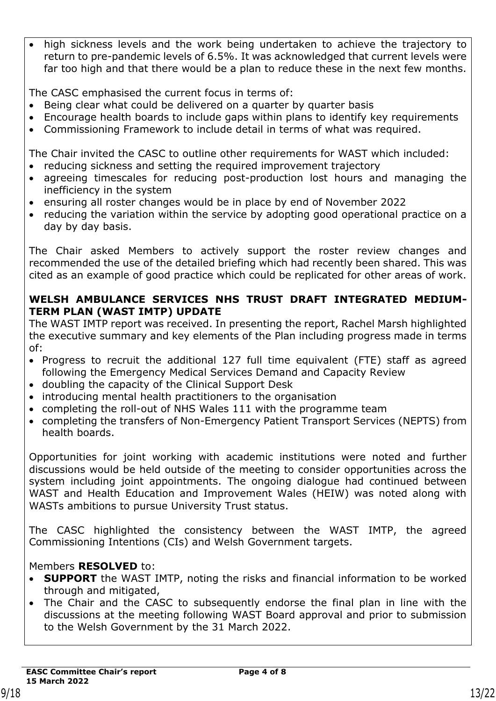high sickness levels and the work being undertaken to achieve the trajectory to return to pre-pandemic levels of 6.5%. It was acknowledged that current levels were far too high and that there would be a plan to reduce these in the next few months.

The CASC emphasised the current focus in terms of:

- Being clear what could be delivered on a quarter by quarter basis
- Encourage health boards to include gaps within plans to identify key requirements
- Commissioning Framework to include detail in terms of what was required.

The Chair invited the CASC to outline other requirements for WAST which included:

- reducing sickness and setting the required improvement trajectory
- agreeing timescales for reducing post-production lost hours and managing the inefficiency in the system
- ensuring all roster changes would be in place by end of November 2022
- reducing the variation within the service by adopting good operational practice on a day by day basis.

The Chair asked Members to actively support the roster review changes and recommended the use of the detailed briefing which had recently been shared. This was cited as an example of good practice which could be replicated for other areas of work.

## **WELSH AMBULANCE SERVICES NHS TRUST DRAFT INTEGRATED MEDIUM-TERM PLAN (WAST IMTP) UPDATE**

The WAST IMTP report was received. In presenting the report, Rachel Marsh highlighted the executive summary and key elements of the Plan including progress made in terms of:

- Progress to recruit the additional 127 full time equivalent (FTE) staff as agreed following the Emergency Medical Services Demand and Capacity Review
- doubling the capacity of the Clinical Support Desk
- introducing mental health practitioners to the organisation
- completing the roll-out of NHS Wales 111 with the programme team
- completing the transfers of Non-Emergency Patient Transport Services (NEPTS) from health boards.

Opportunities for joint working with academic institutions were noted and further discussions would be held outside of the meeting to consider opportunities across the system including joint appointments. The ongoing dialogue had continued between WAST and Health Education and Improvement Wales (HEIW) was noted along with WASTs ambitions to pursue University Trust status.

The CASC highlighted the consistency between the WAST IMTP, the agreed Commissioning Intentions (CIs) and Welsh Government targets.

## Members **RESOLVED** to:

- **SUPPORT** the WAST IMTP, noting the risks and financial information to be worked through and mitigated,
- The Chair and the CASC to subsequently endorse the final plan in line with the discussions at the meeting following WAST Board approval and prior to submission to the Welsh Government by the 31 March 2022.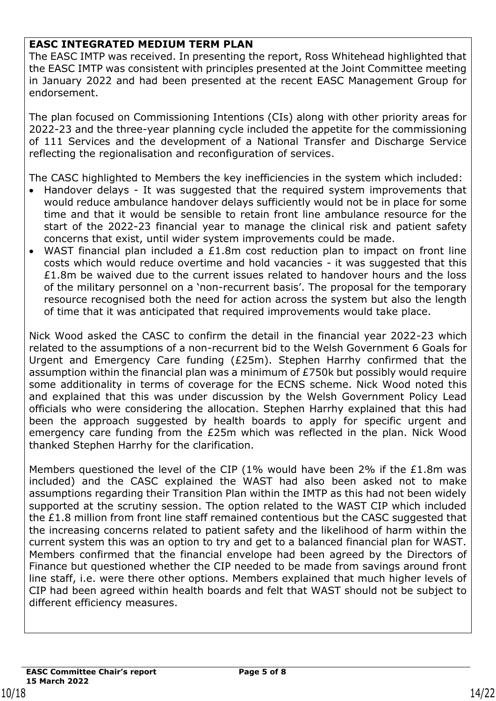## **EASC INTEGRATED MEDIUM TERM PLAN**

The EASC IMTP was received. In presenting the report, Ross Whitehead highlighted that the EASC IMTP was consistent with principles presented at the Joint Committee meeting in January 2022 and had been presented at the recent EASC Management Group for endorsement.

The plan focused on Commissioning Intentions (CIs) along with other priority areas for 2022-23 and the three-year planning cycle included the appetite for the commissioning of 111 Services and the development of a National Transfer and Discharge Service reflecting the regionalisation and reconfiguration of services.

The CASC highlighted to Members the key inefficiencies in the system which included:

- Handover delays It was suggested that the required system improvements that would reduce ambulance handover delays sufficiently would not be in place for some time and that it would be sensible to retain front line ambulance resource for the start of the 2022-23 financial year to manage the clinical risk and patient safety concerns that exist, until wider system improvements could be made.
- WAST financial plan included a £1.8m cost reduction plan to impact on front line costs which would reduce overtime and hold vacancies - it was suggested that this £1.8m be waived due to the current issues related to handover hours and the loss of the military personnel on a 'non-recurrent basis'. The proposal for the temporary resource recognised both the need for action across the system but also the length of time that it was anticipated that required improvements would take place.

Nick Wood asked the CASC to confirm the detail in the financial year 2022-23 which related to the assumptions of a non-recurrent bid to the Welsh Government 6 Goals for Urgent and Emergency Care funding (£25m). Stephen Harrhy confirmed that the assumption within the financial plan was a minimum of £750k but possibly would require some additionality in terms of coverage for the ECNS scheme. Nick Wood noted this and explained that this was under discussion by the Welsh Government Policy Lead officials who were considering the allocation. Stephen Harrhy explained that this had been the approach suggested by health boards to apply for specific urgent and emergency care funding from the £25m which was reflected in the plan. Nick Wood thanked Stephen Harrhy for the clarification.

Members questioned the level of the CIP (1% would have been 2% if the £1.8m was included) and the CASC explained the WAST had also been asked not to make assumptions regarding their Transition Plan within the IMTP as this had not been widely supported at the scrutiny session. The option related to the WAST CIP which included the £1.8 million from front line staff remained contentious but the CASC suggested that the increasing concerns related to patient safety and the likelihood of harm within the current system this was an option to try and get to a balanced financial plan for WAST. Members confirmed that the financial envelope had been agreed by the Directors of Finance but questioned whether the CIP needed to be made from savings around front line staff, i.e. were there other options. Members explained that much higher levels of CIP had been agreed within health boards and felt that WAST should not be subject to different efficiency measures.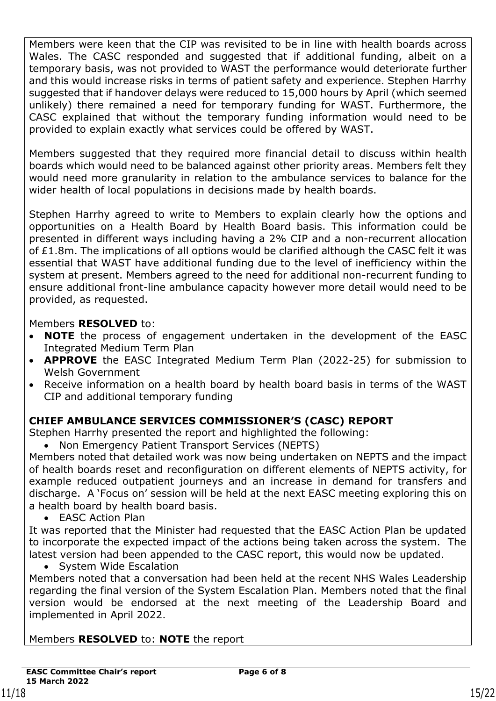Members were keen that the CIP was revisited to be in line with health boards across Wales. The CASC responded and suggested that if additional funding, albeit on a temporary basis, was not provided to WAST the performance would deteriorate further and this would increase risks in terms of patient safety and experience. Stephen Harrhy suggested that if handover delays were reduced to 15,000 hours by April (which seemed unlikely) there remained a need for temporary funding for WAST. Furthermore, the CASC explained that without the temporary funding information would need to be provided to explain exactly what services could be offered by WAST.

Members suggested that they required more financial detail to discuss within health boards which would need to be balanced against other priority areas. Members felt they would need more granularity in relation to the ambulance services to balance for the wider health of local populations in decisions made by health boards.

Stephen Harrhy agreed to write to Members to explain clearly how the options and opportunities on a Health Board by Health Board basis. This information could be presented in different ways including having a 2% CIP and a non-recurrent allocation of £1.8m. The implications of all options would be clarified although the CASC felt it was essential that WAST have additional funding due to the level of inefficiency within the system at present. Members agreed to the need for additional non-recurrent funding to ensure additional front-line ambulance capacity however more detail would need to be provided, as requested.

## Members **RESOLVED** to:

- **NOTE** the process of engagement undertaken in the development of the EASC Integrated Medium Term Plan
- **APPROVE** the EASC Integrated Medium Term Plan (2022-25) for submission to Welsh Government
- Receive information on a health board by health board basis in terms of the WAST CIP and additional temporary funding

# **CHIEF AMBULANCE SERVICES COMMISSIONER'S (CASC) REPORT**

Stephen Harrhy presented the report and highlighted the following:

• Non Emergency Patient Transport Services (NEPTS)

Members noted that detailed work was now being undertaken on NEPTS and the impact of health boards reset and reconfiguration on different elements of NEPTS activity, for example reduced outpatient journeys and an increase in demand for transfers and discharge. A 'Focus on' session will be held at the next EASC meeting exploring this on a health board by health board basis.

• EASC Action Plan

It was reported that the Minister had requested that the EASC Action Plan be updated to incorporate the expected impact of the actions being taken across the system. The latest version had been appended to the CASC report, this would now be updated.

• System Wide Escalation

Members noted that a conversation had been held at the recent NHS Wales Leadership regarding the final version of the System Escalation Plan. Members noted that the final version would be endorsed at the next meeting of the Leadership Board and implemented in April 2022.

## Members **RESOLVED** to: **NOTE** the report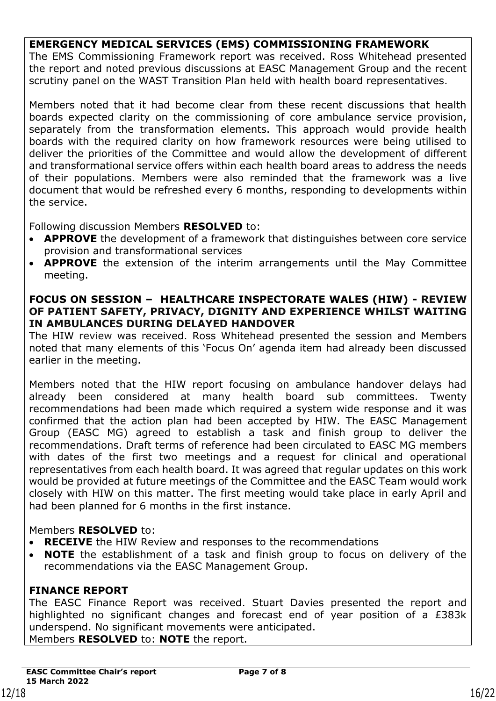## **EMERGENCY MEDICAL SERVICES (EMS) COMMISSIONING FRAMEWORK**

The EMS Commissioning Framework report was received. Ross Whitehead presented the report and noted previous discussions at EASC Management Group and the recent scrutiny panel on the WAST Transition Plan held with health board representatives.

Members noted that it had become clear from these recent discussions that health boards expected clarity on the commissioning of core ambulance service provision, separately from the transformation elements. This approach would provide health boards with the required clarity on how framework resources were being utilised to deliver the priorities of the Committee and would allow the development of different and transformational service offers within each health board areas to address the needs of their populations. Members were also reminded that the framework was a live document that would be refreshed every 6 months, responding to developments within the service.

Following discussion Members **RESOLVED** to:

- **APPROVE** the development of a framework that distinguishes between core service provision and transformational services
- **APPROVE** the extension of the interim arrangements until the May Committee meeting.

#### **FOCUS ON SESSION – HEALTHCARE INSPECTORATE WALES (HIW) - REVIEW OF PATIENT SAFETY, PRIVACY, DIGNITY AND EXPERIENCE WHILST WAITING IN AMBULANCES DURING DELAYED HANDOVER**

The HIW review was received. Ross Whitehead presented the session and Members noted that many elements of this 'Focus On' agenda item had already been discussed earlier in the meeting.

Members noted that the HIW report focusing on ambulance handover delays had already been considered at many health board sub committees. Twenty recommendations had been made which required a system wide response and it was confirmed that the action plan had been accepted by HIW. The EASC Management Group (EASC MG) agreed to establish a task and finish group to deliver the recommendations. Draft terms of reference had been circulated to EASC MG members with dates of the first two meetings and a request for clinical and operational representatives from each health board. It was agreed that regular updates on this work would be provided at future meetings of the Committee and the EASC Team would work closely with HIW on this matter. The first meeting would take place in early April and had been planned for 6 months in the first instance.

## Members **RESOLVED** to:

- **RECEIVE** the HIW Review and responses to the recommendations
- **NOTE** the establishment of a task and finish group to focus on delivery of the recommendations via the EASC Management Group.

## **FINANCE REPORT**

The EASC Finance Report was received. Stuart Davies presented the report and highlighted no significant changes and forecast end of year position of a £383k underspend. No significant movements were anticipated. Members **RESOLVED** to: **NOTE** the report.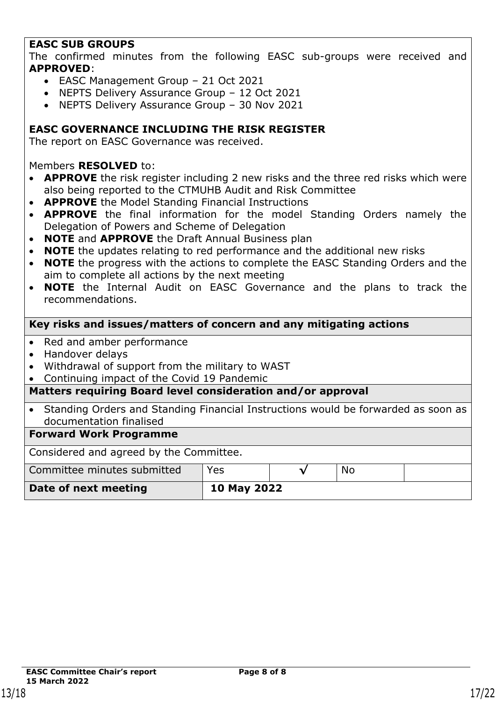## **EASC SUB GROUPS**

The confirmed minutes from the following EASC sub-groups were received and **APPROVED**:

- EASC Management Group 21 Oct 2021
- NEPTS Delivery Assurance Group 12 Oct 2021
- NEPTS Delivery Assurance Group 30 Nov 2021

### **EASC GOVERNANCE INCLUDING THE RISK REGISTER**

The report on EASC Governance was received.

#### Members **RESOLVED** to:

- **APPROVE** the risk register including 2 new risks and the three red risks which were also being reported to the CTMUHB Audit and Risk Committee
- **APPROVE** the Model Standing Financial Instructions
- **APPROVE** the final information for the model Standing Orders namely the Delegation of Powers and Scheme of Delegation
- **NOTE** and **APPROVE** the Draft Annual Business plan
- **NOTE** the updates relating to red performance and the additional new risks
- **NOTE** the progress with the actions to complete the EASC Standing Orders and the aim to complete all actions by the next meeting
- **NOTE** the Internal Audit on EASC Governance and the plans to track the recommendations.

#### **Key risks and issues/matters of concern and any mitigating actions**

- Red and amber performance
- Handover delays
- Withdrawal of support from the military to WAST
- Continuing impact of the Covid 19 Pandemic

#### **Matters requiring Board level consideration and/or approval**

• Standing Orders and Standing Financial Instructions would be forwarded as soon as documentation finalised

#### **Forward Work Programme**

Considered and agreed by the Committee.

| Committee minutes submitted | Yes         | No. |  |
|-----------------------------|-------------|-----|--|
| Date of next meeting        | 10 May 2022 |     |  |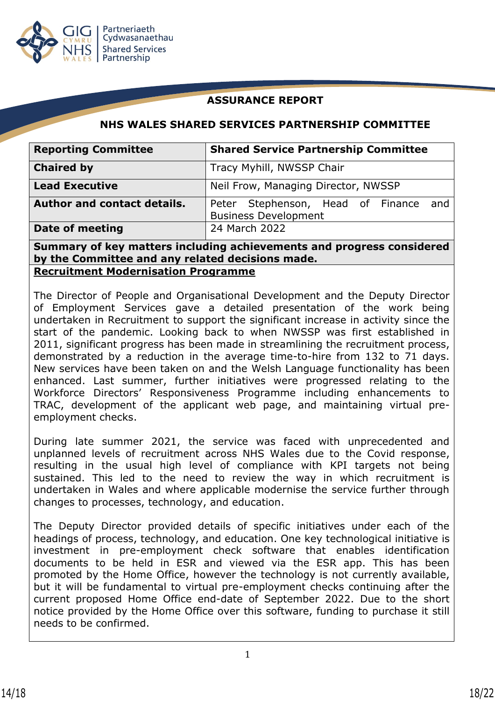

## **ASSURANCE REPORT**

### **NHS WALES SHARED SERVICES PARTNERSHIP COMMITTEE**

| <b>Reporting Committee</b>         | <b>Shared Service Partnership Committee</b>                             |
|------------------------------------|-------------------------------------------------------------------------|
| <b>Chaired by</b>                  | Tracy Myhill, NWSSP Chair                                               |
| <b>Lead Executive</b>              | Neil Frow, Managing Director, NWSSP                                     |
| <b>Author and contact details.</b> | Peter Stephenson, Head of Finance<br>and<br><b>Business Development</b> |
| Date of meeting                    | 24 March 2022                                                           |

**Summary of key matters including achievements and progress considered by the Committee and any related decisions made. Recruitment Modernisation Programme**

The Director of People and Organisational Development and the Deputy Director of Employment Services gave a detailed presentation of the work being undertaken in Recruitment to support the significant increase in activity since the start of the pandemic. Looking back to when NWSSP was first established in 2011, significant progress has been made in streamlining the recruitment process, demonstrated by a reduction in the average time-to-hire from 132 to 71 days. New services have been taken on and the Welsh Language functionality has been enhanced. Last summer, further initiatives were progressed relating to the Workforce Directors' Responsiveness Programme including enhancements to TRAC, development of the applicant web page, and maintaining virtual preemployment checks.

During late summer 2021, the service was faced with unprecedented and unplanned levels of recruitment across NHS Wales due to the Covid response, resulting in the usual high level of compliance with KPI targets not being sustained. This led to the need to review the way in which recruitment is undertaken in Wales and where applicable modernise the service further through changes to processes, technology, and education.

The Deputy Director provided details of specific initiatives under each of the headings of process, technology, and education. One key technological initiative is investment in pre-employment check software that enables identification documents to be held in ESR and viewed via the ESR app. This has been promoted by the Home Office, however the technology is not currently available, but it will be fundamental to virtual pre-employment checks continuing after the current proposed Home Office end-date of September 2022. Due to the short notice provided by the Home Office over this software, funding to purchase it still needs to be confirmed.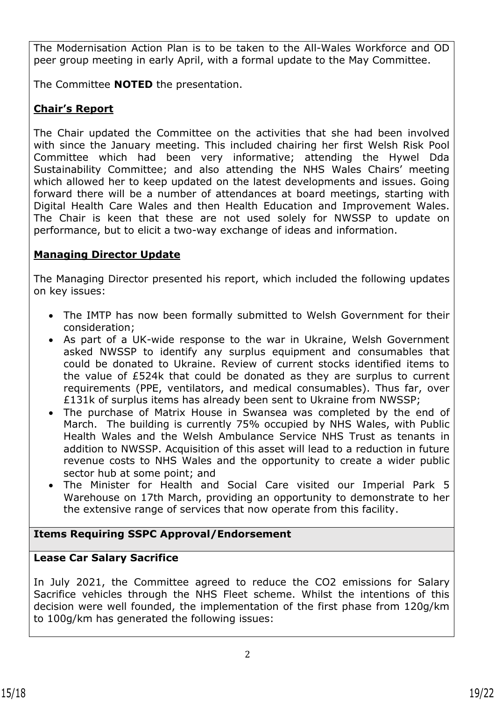The Modernisation Action Plan is to be taken to the All-Wales Workforce and OD peer group meeting in early April, with a formal update to the May Committee.

The Committee **NOTED** the presentation.

# **Chair's Report**

The Chair updated the Committee on the activities that she had been involved with since the January meeting. This included chairing her first Welsh Risk Pool Committee which had been very informative; attending the Hywel Dda Sustainability Committee; and also attending the NHS Wales Chairs' meeting which allowed her to keep updated on the latest developments and issues. Going forward there will be a number of attendances at board meetings, starting with Digital Health Care Wales and then Health Education and Improvement Wales. The Chair is keen that these are not used solely for NWSSP to update on performance, but to elicit a two-way exchange of ideas and information.

# **Managing Director Update**

The Managing Director presented his report, which included the following updates on key issues:

- The IMTP has now been formally submitted to Welsh Government for their consideration;
- As part of a UK-wide response to the war in Ukraine, Welsh Government asked NWSSP to identify any surplus equipment and consumables that could be donated to Ukraine. Review of current stocks identified items to the value of £524k that could be donated as they are surplus to current requirements (PPE, ventilators, and medical consumables). Thus far, over £131k of surplus items has already been sent to Ukraine from NWSSP;
- The purchase of Matrix House in Swansea was completed by the end of March. The building is currently 75% occupied by NHS Wales, with Public Health Wales and the Welsh Ambulance Service NHS Trust as tenants in addition to NWSSP. Acquisition of this asset will lead to a reduction in future revenue costs to NHS Wales and the opportunity to create a wider public sector hub at some point; and
- The Minister for Health and Social Care visited our Imperial Park 5 Warehouse on 17th March, providing an opportunity to demonstrate to her the extensive range of services that now operate from this facility.

# **Items Requiring SSPC Approval/Endorsement**

# **Lease Car Salary Sacrifice**

In July 2021, the Committee agreed to reduce the CO2 emissions for Salary Sacrifice vehicles through the NHS Fleet scheme. Whilst the intentions of this decision were well founded, the implementation of the first phase from 120g/km to 100g/km has generated the following issues: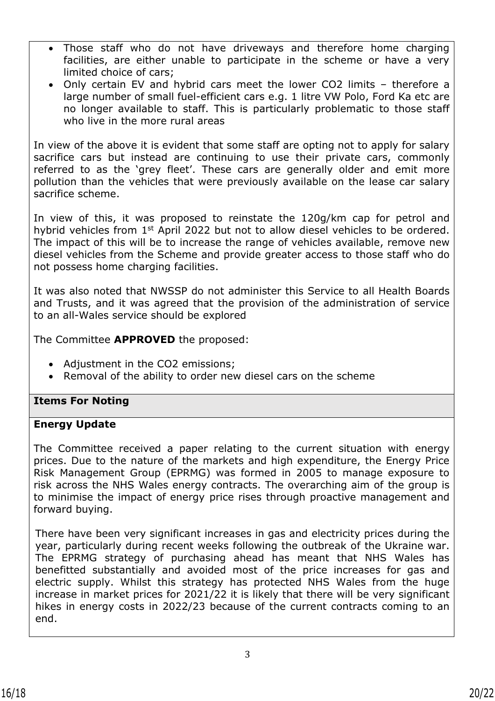- Those staff who do not have driveways and therefore home charging facilities, are either unable to participate in the scheme or have a very limited choice of cars;
- Only certain EV and hybrid cars meet the lower CO2 limits therefore a large number of small fuel-efficient cars e.g. 1 litre VW Polo, Ford Ka etc are no longer available to staff. This is particularly problematic to those staff who live in the more rural areas

In view of the above it is evident that some staff are opting not to apply for salary sacrifice cars but instead are continuing to use their private cars, commonly referred to as the 'grey fleet'. These cars are generally older and emit more pollution than the vehicles that were previously available on the lease car salary sacrifice scheme.

In view of this, it was proposed to reinstate the 120g/km cap for petrol and hybrid vehicles from 1<sup>st</sup> April 2022 but not to allow diesel vehicles to be ordered. The impact of this will be to increase the range of vehicles available, remove new diesel vehicles from the Scheme and provide greater access to those staff who do not possess home charging facilities.

It was also noted that NWSSP do not administer this Service to all Health Boards and Trusts, and it was agreed that the provision of the administration of service to an all-Wales service should be explored

The Committee **APPROVED** the proposed:

- Adjustment in the CO2 emissions;
- Removal of the ability to order new diesel cars on the scheme

## **Items For Noting**

#### **Energy Update**

The Committee received a paper relating to the current situation with energy prices. Due to the nature of the markets and high expenditure, the Energy Price Risk Management Group (EPRMG) was formed in 2005 to manage exposure to risk across the NHS Wales energy contracts. The overarching aim of the group is to minimise the impact of energy price rises through proactive management and forward buying.

There have been very significant increases in gas and electricity prices during the year, particularly during recent weeks following the outbreak of the Ukraine war. The EPRMG strategy of purchasing ahead has meant that NHS Wales has benefitted substantially and avoided most of the price increases for gas and electric supply. Whilst this strategy has protected NHS Wales from the huge increase in market prices for 2021/22 it is likely that there will be very significant hikes in energy costs in 2022/23 because of the current contracts coming to an end.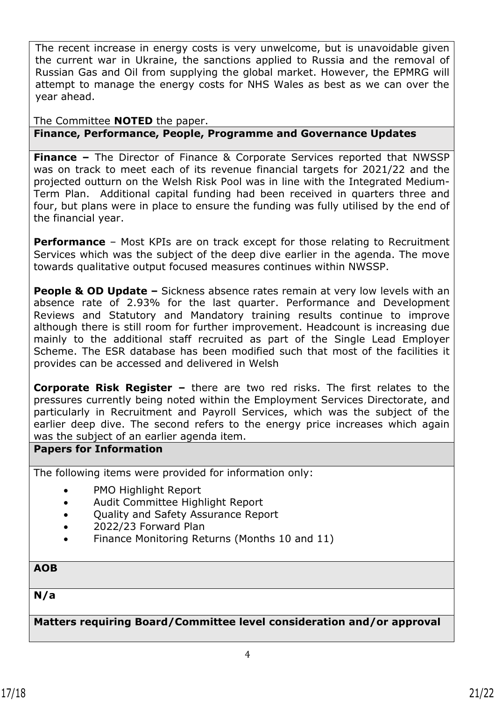The recent increase in energy costs is very unwelcome, but is unavoidable given the current war in Ukraine, the sanctions applied to Russia and the removal of Russian Gas and Oil from supplying the global market. However, the EPMRG will attempt to manage the energy costs for NHS Wales as best as we can over the year ahead.

## The Committee **NOTED** the paper. **Finance, Performance, People, Programme and Governance Updates**

**Finance –** The Director of Finance & Corporate Services reported that NWSSP was on track to meet each of its revenue financial targets for 2021/22 and the projected outturn on the Welsh Risk Pool was in line with the Integrated Medium-Term Plan. Additional capital funding had been received in quarters three and four, but plans were in place to ensure the funding was fully utilised by the end of the financial year.

**Performance** – Most KPIs are on track except for those relating to Recruitment Services which was the subject of the deep dive earlier in the agenda. The move towards qualitative output focused measures continues within NWSSP.

**People & OD Update** – Sickness absence rates remain at very low levels with an absence rate of 2.93% for the last quarter. Performance and Development Reviews and Statutory and Mandatory training results continue to improve although there is still room for further improvement. Headcount is increasing due mainly to the additional staff recruited as part of the Single Lead Employer Scheme. The ESR database has been modified such that most of the facilities it provides can be accessed and delivered in Welsh

**Corporate Risk Register –** there are two red risks. The first relates to the pressures currently being noted within the Employment Services Directorate, and particularly in Recruitment and Payroll Services, which was the subject of the earlier deep dive. The second refers to the energy price increases which again was the subject of an earlier agenda item.

#### **Papers for Information**

The following items were provided for information only:

- PMO Highlight Report
- Audit Committee Highlight Report
- Quality and Safety Assurance Report
- 2022/23 Forward Plan
- Finance Monitoring Returns (Months 10 and 11)

## **AOB**

**N/a**

**Matters requiring Board/Committee level consideration and/or approval**